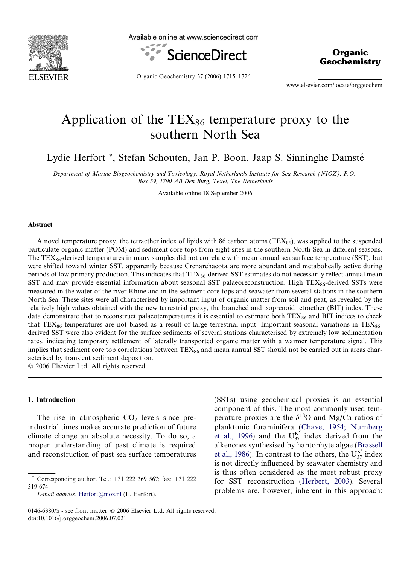

Available online at www.sciencedirect.com



**Organic Geochemistry** 

Organic Geochemistry 37 (2006) 1715–1726

www.elsevier.com/locate/orggeochem

# Application of the  $TEX_{86}$  temperature proxy to the southern North Sea

Lydie Herfort \*, Stefan Schouten, Jan P. Boon, Jaap S. Sinninghe Damsté

Department of Marine Biogeochemistry and Toxicology, Royal Netherlands Institute for Sea Research (NIOZ), P.O. Box 59, 1790 AB Den Burg, Texel, The Netherlands

Available online 18 September 2006

# Abstract

A novel temperature proxy, the tetraether index of lipids with 86 carbon atoms (TEX $_{86}$ ), was applied to the suspended particulate organic matter (POM) and sediment core tops from eight sites in the southern North Sea in different seasons. The  $TEX_{86}$ -derived temperatures in many samples did not correlate with mean annual sea surface temperature (SST), but were shifted toward winter SST, apparently because Crenarchaeota are more abundant and metabolically active during periods of low primary production. This indicates that TEX86-derived SST estimates do not necessarily reflect annual mean SST and may provide essential information about seasonal SST palaeoreconstruction. High TEX<sub>86</sub>-derived SSTs were measured in the water of the river Rhine and in the sediment core tops and seawater from several stations in the southern North Sea. These sites were all characterised by important input of organic matter from soil and peat, as revealed by the relatively high values obtained with the new terrestrial proxy, the branched and isoprenoid tetraether (BIT) index. These data demonstrate that to reconstruct palaeotemperatures it is essential to estimate both  $TEX_{86}$  and BIT indices to check that TEX $_{86}$  temperatures are not biased as a result of large terrestrial input. Important seasonal variations in TEX $_{86}$ derived SST were also evident for the surface sediments of several stations characterised by extremely low sedimentation rates, indicating temporary settlement of laterally transported organic matter with a warmer temperature signal. This implies that sediment core top correlations between  $TEX_{86}$  and mean annual SST should not be carried out in areas characterised by transient sediment deposition.

 $© 2006 Elsevier Ltd. All rights reserved.$ 

# 1. Introduction

The rise in atmospheric  $CO<sub>2</sub>$  levels since preindustrial times makes accurate prediction of future climate change an absolute necessity. To do so, a proper understanding of past climate is required and reconstruction of past sea surface temperatures

E-mail address: [Herfort@nioz.nl](mailto:Herfort@nioz.nl) (L. Herfort).

(SSTs) using geochemical proxies is an essential component of this. The most commonly used temperature proxies are the  $\delta^{18}$ O and Mg/Ca ratios of planktonic foraminifera ([Chave, 1954; Nurnberg](#page-10-0) [et al., 1996](#page-10-0)) and the  $U_{37}^{K'}$  index derived from the alkenones synthesised by haptophyte algae [\(Brassell](#page-10-0) [et al., 1986](#page-10-0)). In contrast to the others, the  $U_{37}^{K'}$  index is not directly influenced by seawater chemistry and is thus often considered as the most robust proxy for SST reconstruction ([Herbert, 2003\)](#page-10-0). Several problems are, however, inherent in this approach:

<sup>\*</sup> Corresponding author. Tel.: +31 222 369 567; fax: +31 222 319 674.

<sup>0146-6380/\$ -</sup> see front matter © 2006 Elsevier Ltd. All rights reserved. doi:10.1016/j.orggeochem.2006.07.021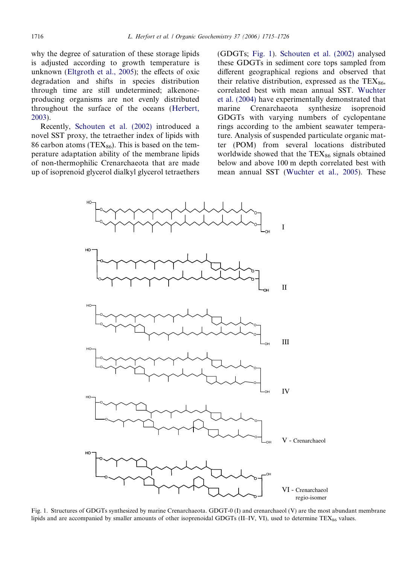<span id="page-1-0"></span>why the degree of saturation of these storage lipids is adjusted according to growth temperature is unknown [\(Eltgroth et al., 2005](#page-10-0)); the effects of oxic degradation and shifts in species distribution through time are still undetermined; alkenoneproducing organisms are not evenly distributed throughout the surface of the oceans [\(Herbert,](#page-10-0) [2003](#page-10-0)).

Recently, [Schouten et al. \(2002\)](#page-10-0) introduced a novel SST proxy, the tetraether index of lipids with 86 carbon atoms (TEX $_{86}$ ). This is based on the temperature adaptation ability of the membrane lipids of non-thermophilic Crenarchaeota that are made up of isoprenoid glycerol dialkyl glycerol tetraethers (GDGTs; Fig. 1). [Schouten et al. \(2002\)](#page-10-0) analysed these GDGTs in sediment core tops sampled from different geographical regions and observed that their relative distribution, expressed as the  $TEX_{86}$ , correlated best with mean annual SST. [Wuchter](#page-10-0) [et al. \(2004\)](#page-10-0) have experimentally demonstrated that marine Crenarchaeota synthesize isoprenoid GDGTs with varying numbers of cyclopentane rings according to the ambient seawater temperature. Analysis of suspended particulate organic matter (POM) from several locations distributed worldwide showed that the  $TEX_{86}$  signals obtained below and above 100 m depth correlated best with mean annual SST [\(Wuchter et al., 2005](#page-10-0)). These



Fig. 1. Structures of GDGTs synthesized by marine Crenarchaeota. GDGT-0 (I) and crenarchaeol (V) are the most abundant membrane lipids and are accompanied by smaller amounts of other isoprenoidal GDGTs (II–IV, VI), used to determine  $TEX_{86}$  values.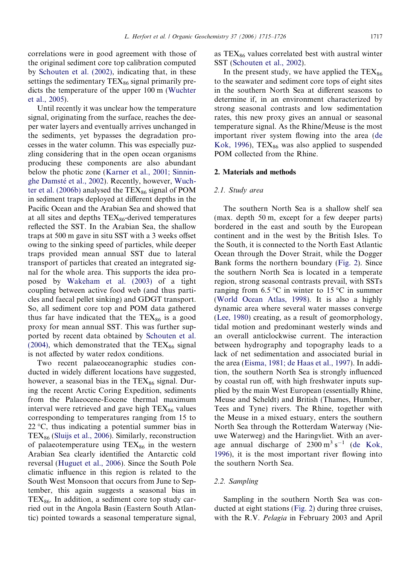correlations were in good agreement with those of the original sediment core top calibration computed by [Schouten et al. \(2002\),](#page-10-0) indicating that, in these settings the sedimentary  $TEX_{86}$  signal primarily predicts the temperature of the upper 100 m [\(Wuchter](#page-10-0) [et al., 2005](#page-10-0)).

Until recently it was unclear how the temperature signal, originating from the surface, reaches the deeper water layers and eventually arrives unchanged in the sediments, yet bypasses the degradation processes in the water column. This was especially puzzling considering that in the open ocean organisms producing these components are also abundant below the photic zone [\(Karner et al., 2001; Sinnin-](#page-10-0)ghe Damsté et al., 2002). Recently, however, [Wuch](#page-11-0)[ter et al. \(2006b\)](#page-11-0) analysed the  $TEX_{86}$  signal of POM in sediment traps deployed at different depths in the Pacific Ocean and the Arabian Sea and showed that at all sites and depths  $TEX_{86}$ -derived temperatures reflected the SST. In the Arabian Sea, the shallow traps at 500 m gave in situ SST with a 3 weeks offset owing to the sinking speed of particles, while deeper traps provided mean annual SST due to lateral transport of particles that created an integrated signal for the whole area. This supports the idea proposed by [Wakeham et al. \(2003\)](#page-10-0) of a tight coupling between active food web (and thus particles and faecal pellet sinking) and GDGT transport. So, all sediment core top and POM data gathered thus far have indicated that the  $TEX_{86}$  is a good proxy for mean annual SST. This was further supported by recent data obtained by [Schouten et al.](#page-10-0) [\(2004\)](#page-10-0), which demonstrated that the  $TEX_{86}$  signal is not affected by water redox conditions.

Two recent palaeoceanographic studies conducted in widely different locations have suggested, however, a seasonal bias in the  $TEX_{86}$  signal. During the recent Arctic Coring Expedition, sediments from the Palaeocene-Eocene thermal maximum interval were retrieved and gave high  $TEX_{86}$  values corresponding to temperatures ranging from 15 to  $22^{\circ}$ C, thus indicating a potential summer bias in  $TEX<sub>86</sub>$  [\(Sluijs et al., 2006\)](#page-10-0). Similarly, reconstruction of palaeotemperature using  $TEX_{86}$  in the western Arabian Sea clearly identified the Antarctic cold reversal [\(Huguet et al., 2006](#page-10-0)). Since the South Pole climatic influence in this region is related to the South West Monsoon that occurs from June to September, this again suggests a seasonal bias in  $TEX_{86}$ . In addition, a sediment core top study carried out in the Angola Basin (Eastern South Atlantic) pointed towards a seasonal temperature signal,

as  $TEX_{86}$  values correlated best with austral winter SST [\(Schouten et al., 2002\)](#page-10-0).

In the present study, we have applied the  $TEX_{86}$ to the seawater and sediment core tops of eight sites in the southern North Sea at different seasons to determine if, in an environment characterized by strong seasonal contrasts and low sedimentation rates, this new proxy gives an annual or seasonal temperature signal. As the Rhine/Meuse is the most important river system flowing into the area [\(de](#page-10-0) [Kok, 1996\)](#page-10-0), TEX $_{86}$  was also applied to suspended POM collected from the Rhine.

#### 2. Materials and methods

# 2.1. Study area

The southern North Sea is a shallow shelf sea (max. depth 50 m, except for a few deeper parts) bordered in the east and south by the European continent and in the west by the British Isles. To the South, it is connected to the North East Atlantic Ocean through the Dover Strait, while the Dogger Bank forms the northern boundary ([Fig. 2\)](#page-3-0). Since the southern North Sea is located in a temperate region, strong seasonal contrasts prevail, with SSTs ranging from 6.5 °C in winter to 15 °C in summer [\(World Ocean Atlas, 1998\)](#page-10-0). It is also a highly dynamic area where several water masses converge [\(Lee, 1980\)](#page-10-0) creating, as a result of geomorphology, tidal motion and predominant westerly winds and an overall anticlockwise current. The interaction between hydrography and topography leads to a lack of net sedimentation and associated burial in the area ([Eisma, 1981; de Haas et al., 1997\)](#page-10-0). In addition, the southern North Sea is strongly influenced by coastal run off, with high freshwater inputs supplied by the main West European (essentially Rhine, Meuse and Scheldt) and British (Thames, Humber, Tees and Tyne) rivers. The Rhine, together with the Meuse in a mixed estuary, enters the southern North Sea through the Rotterdam Waterway (Nieuwe Waterweg) and the Haringvliet. With an average annual discharge of  $2300 \text{ m}^3 \text{ s}^{-1}$  [\(de Kok,](#page-10-0) [1996\)](#page-10-0), it is the most important river flowing into the southern North Sea.

#### 2.2. Sampling

Sampling in the southern North Sea was conducted at eight stations ([Fig. 2](#page-3-0)) during three cruises, with the R.V. *Pelagia* in February 2003 and April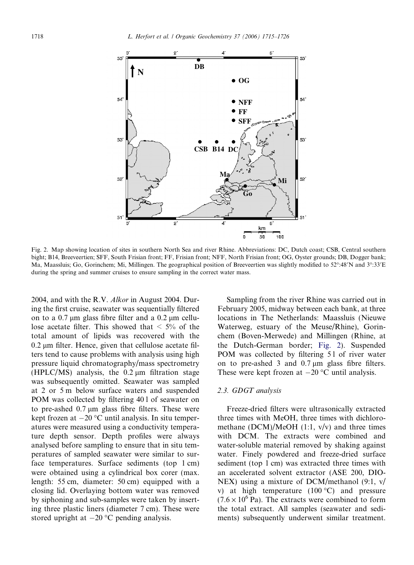<span id="page-3-0"></span>

Fig. 2. Map showing location of sites in southern North Sea and river Rhine. Abbreviations: DC, Dutch coast; CSB, Central southern bight; B14, Breeveertien; SFF, South Frisian front; FF, Frisian front; NFF, North Frisian front; OG, Oyster grounds; DB, Dogger bank; Ma, Maassluis; Go, Gorinchem; Mi, Millingen. The geographical position of Breeveertien was slightly modified to 52°:48'N and 3°:33'E during the spring and summer cruises to ensure sampling in the correct water mass.

2004, and with the R.V. Alkor in August 2004. During the first cruise, seawater was sequentially filtered on to a  $0.7 \mu m$  glass fibre filter and a  $0.2 \mu m$  cellulose acetate filter. This showed that  $\leq 5\%$  of the total amount of lipids was recovered with the  $0.2 \mu m$  filter. Hence, given that cellulose acetate filters tend to cause problems with analysis using high pressure liquid chromatography/mass spectrometry (HPLC/MS) analysis, the  $0.2 \mu m$  filtration stage was subsequently omitted. Seawater was sampled at 2 or 5 m below surface waters and suspended POM was collected by filtering 40 l of seawater on to pre-ashed  $0.7 \mu m$  glass fibre filters. These were kept frozen at  $-20$  °C until analysis. In situ temperatures were measured using a conductivity temperature depth sensor. Depth profiles were always analysed before sampling to ensure that in situ temperatures of sampled seawater were similar to surface temperatures. Surface sediments (top 1 cm) were obtained using a cylindrical box corer (max. length: 55 cm, diameter: 50 cm) equipped with a closing lid. Overlaying bottom water was removed by siphoning and sub-samples were taken by inserting three plastic liners (diameter 7 cm). These were stored upright at  $-20$  °C pending analysis.

Sampling from the river Rhine was carried out in February 2005, midway between each bank, at three locations in The Netherlands: Maassluis (Nieuwe Waterweg, estuary of the Meuse/Rhine), Gorinchem (Boven-Merwede) and Millingen (Rhine, at the Dutch-German border; Fig. 2). Suspended POM was collected by filtering 51 of river water on to pre-ashed  $3$  and  $0.7 \mu m$  glass fibre filters. These were kept frozen at  $-20$  °C until analysis.

# 2.3. GDGT analysis

Freeze-dried filters were ultrasonically extracted three times with MeOH, three times with dichloromethane (DCM)/MeOH  $(1:1, v/v)$  and three times with DCM. The extracts were combined and water-soluble material removed by shaking against water. Finely powdered and freeze-dried surface sediment (top 1 cm) was extracted three times with an accelerated solvent extractor (ASE 200, DIO-NEX) using a mixture of DCM/methanol (9:1, v/ v) at high temperature  $(100 °C)$  and pressure  $(7.6 \times 10^6 \text{ Pa})$ . The extracts were combined to form the total extract. All samples (seawater and sediments) subsequently underwent similar treatment.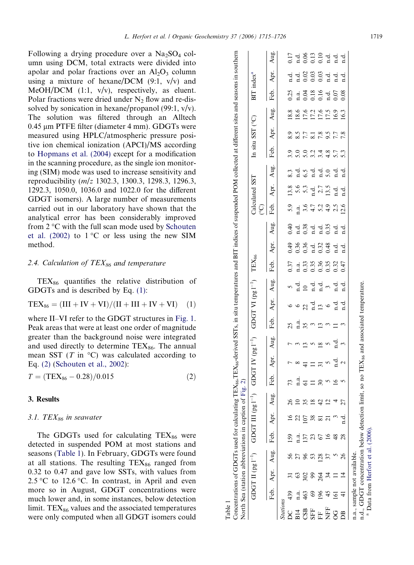<span id="page-4-0"></span>Following a drying procedure over a  $Na<sub>2</sub>SO<sub>4</sub>$  column using DCM, total extracts were divided into apolar and polar fractions over an  $Al_2O_3$  column using a mixture of hexane/DCM  $(9:1, v/v)$  and MeOH/DCM  $(1:1, v/v)$ , respectively, as eluent. Polar fractions were dried under  $N_2$  flow and re-dissolved by sonication in hexane/propanol (99:1, v/v). The solution was filtered through an Alltech  $0.45 \mu m$  PTFE filter (diameter 4 mm). GDGTs were measured using HPLC/atmospheric pressure positive ion chemical ionization (APCI)/MS according to [Hopmans et al. \(2004\)](#page-10-0) except for a modification in the scanning procedure, as the single ion monitoring (SIM) mode was used to increase sensitivity and reproducibility (m/z 1302.3, 1300.3, 1298.3, 1296.3, 1292.3, 1050.0, 1036.0 and 1022.0 for the different GDGT isomers). A large number of measurements carried out in our laboratory have shown that the analytical error has been considerably improved from  $2^{\circ}$ C with the full scan mode used by [Schouten](#page-10-0) [et al. \(2002\)](#page-10-0) to  $1^{\circ}$ C or less using the new SIM method.

#### 2.4. Calculation of TEX $_{86}$  and temperature

 $TEX_{86}$  quantifies the relative distribution of GDGTs and is described by Eq. (1):

$$
TEX_{86} = (III + IV + VI)/(II + III + IV + VI) \quad (1)
$$

where II–VI refer to the GDGT structures in [Fig. 1](#page-1-0). Peak areas that were at least one order of magnitude greater than the background noise were integrated and used directly to determine  $TEX_{86}$ . The annual mean SST ( $T$  in  $^{\circ}$ C) was calculated according to Eq. (2) [\(Schouten et al., 2002\)](#page-10-0):

 $T = (TEX<sub>86</sub> - 0.28)/0.015$  (2)

# 3. Results

#### 3.1. TEX $_{86}$  in seawater

The GDGTs used for calculating  $TEX_{86}$  were detected in suspended POM at most stations and seasons (Table 1). In February, GDGTs were found at all stations. The resulting  $TEX_{86}$  ranged from 0.32 to 0.47 and gave low SSTs, with values from 2.5 °C to 12.6 °C. In contrast, in April and even more so in August, GDGT concentrations were much lower and, in some instances, below detection limit.  $TEX_{86}$  values and the associated temperatures were only computed when all GDGT isomers could

Table 1<br>Concentrations of GDGTs used for calculating TEX<sub>86</sub>,TEX<sub>86</sub>-derived SSTs, in situ temperatures and BIT indices of suspended POM collected at different sites and seasons in southern<br>North Sea (station abbreviations Concentrations of GDGTs used for calculating TEX<sub>86</sub>.TEX<sub>86</sub>-derived SSTs, in situ temperatures and BIT indices of suspended POM collected at different sites and seasons in southern Aug. Feb. Apr. Aug. Feb. Apr. Aug. Feb. Apr. Aug. Feb. Apr. Aug. Feb. Apr. Aug. Feb. Apr. Aug. Feb. Apr. Aug. Feb. Apr. Aug.  $17 \frac{1}{2}$   $\frac{1}{6}$   $\frac{1}{6}$   $\frac{1}{6}$   $\frac{1}{10}$   $\frac{1}{10}$   $\frac{1}{10}$   $\frac{1}{10}$   $\frac{1}{10}$   $\frac{1}{10}$   $\frac{1}{10}$ DC 439 31 56 159 16 26 73 7 7 25 6 5 0.37 0.49 0.40 5.9 13.8 8.3 3.9 8.9 18.8 0.25 n.d. 0.17 CSB 463 302 96 137 107 35 61 41 13 35 22 10 0.33 0.36 0.38 3.6 5.3 6.5 5.0 7.7 17.6 0.04 0.02 0.06 SFF 69 99 53 23 38 18 11 11 5 3 n.d. n.d. 0.35 n.d. n.d. 4.7 n.d. n.d. 3.2 8.1 17.2 0.18 0.03 0.13 B14 n.a. 63 27 n.a. 22 10 n.a. 8 3 n.a. 6 n.d. n.a. 0.36 n.d. n.a. 5.6 n.d. 5.0 8.5 18.6 n.a. n.d. n.d. Apr.  $0.03$ <br> $0.03$ <br> $0.03$ <br> $0.03$ index<sup>a</sup> In situ SST ( $\degree$ C) BIT index<sup>a</sup> Ŀ. Feb. БŢ 0.016<br>0.16<br>0.016<br>0.000  $0.25$ a. Aug.  $17.6$ <br> $17.6$ <br> $17.5$ <br> $16.3$ <br> $16.3$  $8.8$ In situ SST (°C) Apr.  $8.877877868$ Feb. o o o o o o de o o<br>o o o o o de o o Aug. dido did<br>didini didi 5.5  $\frac{3}{2}$  d Calculated SST  $TEX_{86}$  Calculated SST Apr.  $3.\overline{6}$ 5.3<br>1.4<br>13.5 Feb.  $3.4573956$ <br>  $3.457956$ (C) Aug. Apr.  $3.588$   $1.884$   $1.384$   $1.364$   $1.364$   $1.364$   $1.364$   $1.364$   $1.364$   $1.364$   $1.364$   $1.364$   $1.364$   $1.364$   $1.364$   $1.364$   $1.364$   $1.364$   $1.364$   $1.364$   $1.364$   $1.364$   $1.364$   $1.364$   $1.364$   $1.364$   $1.364$   $1.36$ TEX<sub>86</sub> Feb.  $0.37$ <br>  $1.33$ <br>  $0.35$ <br>  $0.35$ <br>  $0.32$ <br>  $0.47$ Aug. GDGT VI  $(pg1^{-1})$  $\begin{bmatrix} 1 \\ 1 \end{bmatrix}$  GDGT VI (pg  $\begin{bmatrix} 1 \\ 1 \end{bmatrix}$ Apr.  $\circ \circ \circ \circ \neq \exists$ Feb. Aug. GDGT IV  $(pg I^{-1})$  $\overline{1}$ ) GDGT IV (pg l Apr.  $\Xi \approx \Omega_{\rm c} \frac{d}{d} \Omega$ Feb.  $73$  a  $57799999$ North Sea (station abbreviations in caption of [Fig.](#page-3-0) 2) Aug. GDGT III  $(pg I^{-1})$  $828242$  $\bigcup$  GDGT III (pg I Apr. fabasan d Feb.  $\frac{5}{2}$   $\frac{7}{2}$   $\frac{6}{5}$   $\frac{6}{4}$   $\frac{8}{8}$   $\frac{8}{8}$  $\frac{59}{14}$ Aug. GDGT II  $(pg1^{-1})$ **SASSSE** GDGT II (pg l-Apr.  $8\degree$ Feb. n.a.<br>463  $884$ Stations  $CSB$ 

FF 196 264 128 67 81 42 30 31 18 13 13 n.d. 0.36 0.32 n.d. 5.2 2.7 n.d. 3.4 7.8 17.6 0.16 0.03 0.10 NFF 45 34 37 16 21 12 5 5 5 3 6 3 0.35 0.48 0.35 4.9 13.5 5.0 4.8 9.5 17.5 n.d. n.d. n.d. OG 161 11 5 48 3 4 16 n.d. n.d. 11 n.d. n.d. 0.32 n.d. n.d. 2.5 n.d. n.d. 5.7 7.7 16.9 0.07 n.d. n.d. DB 41 14 26 28 n.d. 27 5 2 3 3 n.d. n.d. 0.47 n.d. n.d. 12.6 n.d. n.d. 5.3 7.8 16.3 0.08 n.d. n.d.

 $\frac{8}{10}$  $\frac{d}{d}$ 

n.d., GDGT concentration below detection limit, so no TEX<sub>86</sub> and associated temperature n.d., GDGT concentration below detection limit, so no TEX<sub>86</sub> and associated temperature. <sup>a</sup> Data from Herfort et al. [\(2006\)](#page-10-0). n.a., sample not available. n.a., sample not available.

 $\frac{5}{2}$ 

 $\overline{6}$  41

 $58$ 

 $347 - 7$ 

臣

ਾਰ ਰ

ਦੂਂ ਦੂ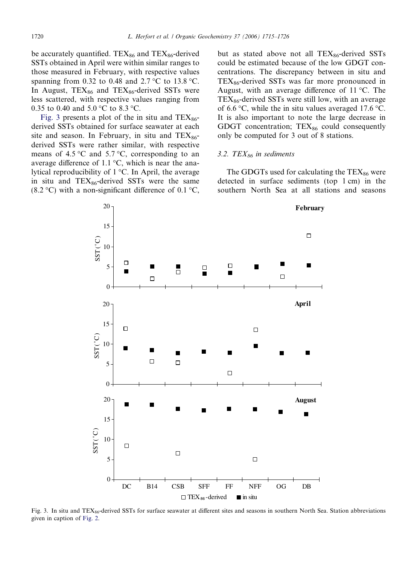<span id="page-5-0"></span>be accurately quantified. TEX $_{86}$  and TEX $_{86}$ -derived SSTs obtained in April were within similar ranges to those measured in February, with respective values spanning from 0.32 to 0.48 and 2.7 °C to 13.8 °C. In August,  $TEX_{86}$  and  $TEX_{86}$ -derived SSTs were less scattered, with respective values ranging from 0.35 to 0.40 and 5.0  $^{\circ}$ C to 8.3  $^{\circ}$ C.

Fig. 3 presents a plot of the in situ and  $TEX_{86}$ derived SSTs obtained for surface seawater at each site and season. In February, in situ and  $TEX_{86}$ derived SSTs were rather similar, with respective means of 4.5 °C and 5.7 °C, corresponding to an average difference of 1.1  $\degree$ C, which is near the analytical reproducibility of  $1^{\circ}$ C. In April, the average in situ and  $TEX_{86}$ -derived SSTs were the same (8.2 °C) with a non-significant difference of 0.1 °C, but as stated above not all  $TEX_{86}$ -derived SSTs could be estimated because of the low GDGT concentrations. The discrepancy between in situ and  $TEX_{86}$ -derived SSTs was far more pronounced in August, with an average difference of  $11^{\circ}$ C. The  $TEX_{86}$ -derived SSTs were still low, with an average of 6.6  $\degree$ C, while the in situ values averaged 17.6  $\degree$ C. It is also important to note the large decrease in GDGT concentration;  $TEX_{86}$  could consequently only be computed for 3 out of 8 stations.

## 3.2. TEX $_{86}$  in sediments

The GDGTs used for calculating the  $TEX_{86}$  were detected in surface sediments (top 1 cm) in the southern North Sea at all stations and seasons



Fig. 3. In situ and TEX $_{86}$ -derived SSTs for surface seawater at different sites and seasons in southern North Sea. Station abbreviations given in caption of [Fig. 2.](#page-3-0)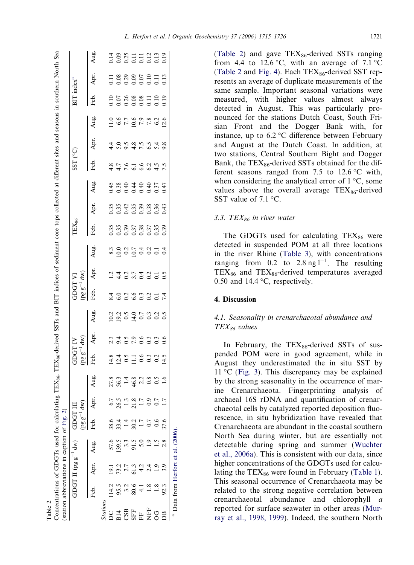Table 2

<span id="page-6-0"></span>

| $TFX_{\sim}$ , $TFX_{\sim}$ , derived SSTs and BIT indices of sediment core toos collected at different sites and seasons in southern North S<br>$1 - 86$ , $1 - 88$<br>֖֖֖֪ׅ֪֪ׅ֖֪֪֪֪ׅ֖֚֚֚֚֚֚֚֚֚֚֚֚֚֚֚֚֚֚֚֡֝֝֝֝֝֝<br> <br> <br> |
|---------------------------------------------------------------------------------------------------------------------------------------------------------------------------------------------------------------------------------|
|---------------------------------------------------------------------------------------------------------------------------------------------------------------------------------------------------------------------------------|

|                          |                                 | $-58011$       |       |                    |                   |                                                                   |          |                                 |                                                                                       | TA LOGE                                                                                              |                |      | TEX <sub>86</sub>                    |                          |                                                           | SST (°C)                             |                                                                 |      | $BTT$ index <sup>a</sup> |                                       |      |
|--------------------------|---------------------------------|----------------|-------|--------------------|-------------------|-------------------------------------------------------------------|----------|---------------------------------|---------------------------------------------------------------------------------------|------------------------------------------------------------------------------------------------------|----------------|------|--------------------------------------|--------------------------|-----------------------------------------------------------|--------------------------------------|-----------------------------------------------------------------|------|--------------------------|---------------------------------------|------|
|                          |                                 |                |       |                    |                   |                                                                   | $pg = 1$ | $\binom{N}{4}$                  |                                                                                       | $(pg g^{-1})$                                                                                        | $d\mathbf{w})$ |      |                                      |                          |                                                           |                                      |                                                                 |      |                          |                                       |      |
|                          |                                 | Feb. Apr. Aug. |       |                    |                   | Aug.                                                              | Feb.     | Apr.                            | Aug.                                                                                  | Feb.                                                                                                 | Apr.           | Aug. | Feb.                                 | Apr.                     | Aug.                                                      | Feb.                                 | Apr.                                                            | Aug. | Feb.                     | Apr.                                  | Aug. |
| <i>stations</i>          |                                 |                |       |                    |                   |                                                                   |          |                                 |                                                                                       |                                                                                                      |                |      |                                      |                          |                                                           |                                      |                                                                 |      |                          |                                       |      |
|                          |                                 | 19.1           | 57.6  | 38.6<br>5 33.4     |                   |                                                                   |          |                                 |                                                                                       |                                                                                                      |                |      |                                      |                          |                                                           |                                      |                                                                 |      |                          |                                       |      |
| <b>B14</b><br>CSB<br>SFF | $114.2$<br>95.5<br>3.2          |                | 139.5 |                    |                   |                                                                   |          |                                 |                                                                                       |                                                                                                      |                |      |                                      |                          |                                                           |                                      |                                                                 |      |                          |                                       |      |
|                          |                                 |                |       |                    | 26.5<br>1.3       |                                                                   |          |                                 |                                                                                       |                                                                                                      |                |      |                                      |                          |                                                           |                                      |                                                                 |      |                          |                                       |      |
|                          | 80.6                            |                |       |                    | $\frac{1.8}{1.7}$ |                                                                   |          |                                 |                                                                                       |                                                                                                      |                |      |                                      |                          |                                                           |                                      |                                                                 |      |                          |                                       |      |
| $\frac{1}{\sqrt{2}}$     |                                 | 51.3           |       | $\frac{30.2}{1.7}$ |                   |                                                                   |          |                                 |                                                                                       |                                                                                                      |                |      |                                      |                          |                                                           |                                      |                                                                 |      |                          |                                       |      |
| <b>EF</b><br>OG          |                                 |                |       |                    | $\frac{6}{2}$     | $278$<br>$56 - 48$<br>$46 - 38$<br>$6 - 48$<br>$6 - 6$<br>$6 - 1$ |          | 1<br>1900 - 1900<br>1900 - 1900 | 1<br>1<br>1<br>1<br>1<br>1<br>1<br>1<br>1<br>1<br>1<br>1<br>1<br>0<br>1<br>1<br>1<br> | 8<br>8<br>8<br>8<br>8<br>9<br>8<br>9<br>9<br>9<br>9<br>9<br>9<br>9<br>9<br>9<br>9<br>9<br>2<br>1<br> | 140540159      |      | 33335333<br>0.3353353<br>0.0.0.0.0.0 | 55545988645<br>000000000 | 4 8 9 4 4 4 4 5 5<br>4 6 6 4 4 4 5 6 7<br>4 8 9 4 9 9 5 5 | 8 7 6 1 6 2 5 5 5<br>4 4 7 6 6 6 4 7 | 4 0 0 0 0 0 0 4 0<br>4 0 0 0 4 1 - 0 0 0<br>4 0 0 0 4 1 - 0 0 0 |      |                          | 1188895113<br>0000001113<br>000001113 |      |
|                          |                                 |                |       | 0.6                |                   |                                                                   |          |                                 |                                                                                       |                                                                                                      |                |      |                                      |                          |                                                           |                                      |                                                                 |      |                          |                                       |      |
|                          | 92.3                            |                |       | 87.6               |                   |                                                                   |          |                                 |                                                                                       |                                                                                                      |                |      |                                      |                          |                                                           |                                      |                                                                 |      |                          |                                       |      |
|                          | Data from Herfort et al. (2006) |                |       |                    |                   |                                                                   |          |                                 |                                                                                       |                                                                                                      |                |      |                                      |                          |                                                           |                                      |                                                                 |      |                          |                                       |      |

(Table 2) and gave  $TEX_{86}$ -derived SSTs ranging from 4.4 to 12.6 °C, with an average of 7.1 °C (Table 2 and [Fig. 4](#page-7-0)). Each  $TEX_{86}$ -derived SST represents an average of duplicate measurements of the same sample. Important seasonal variations were measured, with higher values almost always detected in August. This was particularly pronounced for the stations Dutch Coast, South Frisian Front and the Dogger Bank with, for instance, up to  $6.2 \degree$ C difference between February and August at the Dutch Coast. In addition, at two stations, Central Southern Bight and Dogger Bank, the  $TEX_{86}$ -derived SSTs obtained for the different seasons ranged from 7.5 to  $12.6^{\circ}$ C with, when considering the analytical error of  $1^{\circ}C$ , some values above the overall average  $TEX_{86}$ -derived SST value of  $7.1 \text{ °C}$ .

# 3.3. TEX $_{86}$  in river water

The GDGTs used for calculating  $TEX_{86}$  were detected in suspended POM at all three locations in the river Rhine ([Table 3\)](#page-7-0), with concentrations ranging from 0.2 to 2.8 ng  $1^{-1}$ . The resulting  $TEX_{86}$  and  $TEX_{86}$ -derived temperatures averaged 0.50 and 14.4  $\degree$ C, respectively.

# 4. Discussion

# 4.1. Seasonality in crenarchaeotal abundance and  $TEX_{86}$  values

In February, the  $TEX_{86}$ -derived SSTs of suspended POM were in good agreement, while in August they underestimated the in situ SST by  $11 \degree C$  ([Fig. 3](#page-5-0)). This discrepancy may be explained by the strong seasonality in the occurrence of marine Crenarchaeota. Fingerprinting analysis of archaeal 16S rDNA and quantification of crenarchaeotal cells by catalyzed reported deposition fluorescence, in situ hybridization have revealed that Crenarchaeota are abundant in the coastal southern North Sea during winter, but are essentially not detectable during spring and summer [\(Wuchter](#page-11-0) [et al., 2006a](#page-11-0)). This is consistent with our data, since higher concentrations of the GDGTs used for calculating the  $TEX_{86}$  were found in February ([Table 1](#page-4-0)). This seasonal occurrence of Crenarchaeota may be related to the strong negative correlation between crenarchaeotal abundance and chlorophyll a reported for surface seawater in other areas ([Mur](#page-10-0)[ray et al., 1998, 1999\)](#page-10-0). Indeed, the southern North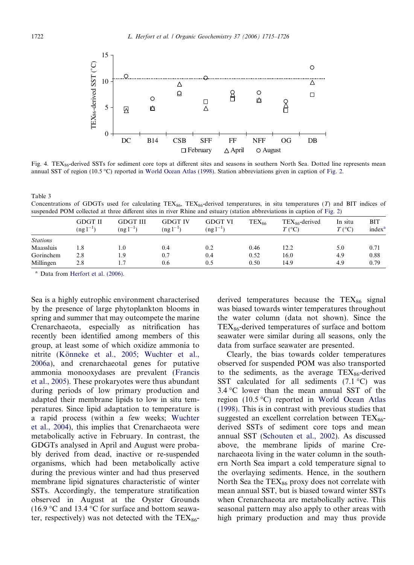<span id="page-7-0"></span>

Fig. 4. TEX $_{86}$ -derived SSTs for sediment core tops at different sites and seasons in southern North Sea. Dotted line represents mean annual SST of region (10.5 °C) reported in [World Ocean Atlas \(1998\).](#page-10-0) Station abbreviations given in caption of [Fig. 2](#page-3-0).

| Concentrations of GDGTs used for calculating $TEX_{86}$ , $TEX_{86}$ -derived temperatures, in situ temperatures (T) and BIT indices of |  |  |  |  |  |  |
|-----------------------------------------------------------------------------------------------------------------------------------------|--|--|--|--|--|--|
| suspended POM collected at three different sites in river Rhine and estuary (station abbreviations in caption of Fig. 2)                |  |  |  |  |  |  |

|                 | <b>GDGT II</b><br>$(ng1^{-1})$ | <b>GDGT III</b><br>$(ng1^{-1})$ | <b>GDGT IV</b><br>$($ ng l $^{-1}$ | <b>GDGT VI</b><br>$(ng l^{-1})$ | $TEX_{86}$ | $TEX_{86}$ -derived<br>$T$ (°C) | In situ<br>$T({}^{\circ}C)$ | BIT<br>index <sup>a</sup> |
|-----------------|--------------------------------|---------------------------------|------------------------------------|---------------------------------|------------|---------------------------------|-----------------------------|---------------------------|
| <b>Stations</b> |                                |                                 |                                    |                                 |            |                                 |                             |                           |
| Maassluis       | 1.8                            | 1.0                             | 0.4                                | 0.2                             | 0.46       | 12.2                            | 5.0                         | 0.71                      |
| Gorinchem       | 2.8                            | 1.9                             | 0.7                                | 0.4                             | 0.52       | 16.0                            | 4.9                         | 0.88                      |
| Millingen       | 2.8                            |                                 | 0.6                                | 0.5                             | 0.50       | 14.9                            | 4.9                         | 0.79                      |

<sup>a</sup> Data from [Herfort et al. \(2006\).](#page-10-0)

Sea is a highly eutrophic environment characterised by the presence of large phytoplankton blooms in spring and summer that may outcompete the marine Crenarchaeota, especially as nitrification has recently been identified among members of this group, at least some of which oxidize ammonia to nitrite (Könneke et al., 2005; Wuchter et al., [2006a](#page-10-0)), and crenarchaeotal genes for putative ammonia monooxydases are prevalent [\(Francis](#page-10-0) [et al., 2005\)](#page-10-0). These prokaryotes were thus abundant during periods of low primary production and adapted their membrane lipids to low in situ temperatures. Since lipid adaptation to temperature is a rapid process (within a few weeks; [Wuchter](#page-10-0) [et al., 2004](#page-10-0)), this implies that Crenarchaeota were metabolically active in February. In contrast, the GDGTs analysed in April and August were probably derived from dead, inactive or re-suspended organisms, which had been metabolically active during the previous winter and had thus preserved membrane lipid signatures characteristic of winter SSTs. Accordingly, the temperature stratification observed in August at the Oyster Grounds (16.9 °C and 13.4 °C for surface and bottom seawater, respectively) was not detected with the  $TEX_{86}$ -

derived temperatures because the  $TEX_{86}$  signal was biased towards winter temperatures throughout the water column (data not shown). Since the  $TEX_{86}$ -derived temperatures of surface and bottom seawater were similar during all seasons, only the data from surface seawater are presented.

Clearly, the bias towards colder temperatures observed for suspended POM was also transported to the sediments, as the average  $text{TEX}_{86}$ -derived SST calculated for all sediments  $(7.1 \degree C)$  was  $3.4 \,^{\circ}\text{C}$  lower than the mean annual SST of the region  $(10.5 \degree C)$  reported in [World Ocean Atlas](#page-10-0) [\(1998\).](#page-10-0) This is in contrast with previous studies that suggested an excellent correlation between  $TEX_{86}$ derived SSTs of sediment core tops and mean annual SST [\(Schouten et al., 2002\)](#page-10-0). As discussed above, the membrane lipids of marine Crenarchaeota living in the water column in the southern North Sea impart a cold temperature signal to the overlaying sediments. Hence, in the southern North Sea the  $TEX_{86}$  proxy does not correlate with mean annual SST, but is biased toward winter SSTs when Crenarchaeota are metabolically active. This seasonal pattern may also apply to other areas with high primary production and may thus provide

Table 3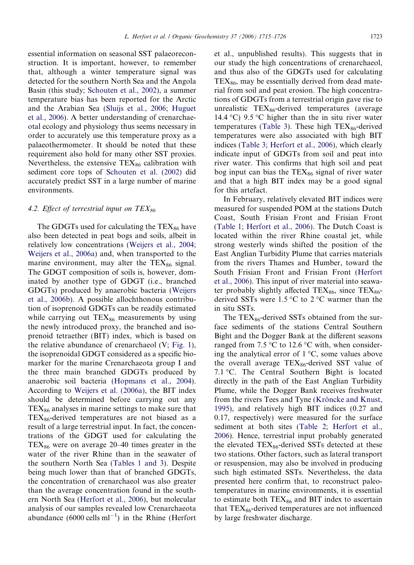essential information on seasonal SST palaeoreconstruction. It is important, however, to remember that, although a winter temperature signal was detected for the southern North Sea and the Angola Basin (this study; [Schouten et al., 2002](#page-10-0)), a summer temperature bias has been reported for the Arctic and the Arabian Sea ([Sluijs et al., 2006; Huguet](#page-10-0) [et al., 2006](#page-10-0)). A better understanding of crenarchaeotal ecology and physiology thus seems necessary in order to accurately use this temperature proxy as a palaeothermometer. It should be noted that these requirement also hold for many other SST proxies. Nevertheless, the extensive  $TEX_{86}$  calibration with sediment core tops of [Schouten et al. \(2002\)](#page-10-0) did accurately predict SST in a large number of marine environments.

# 4.2. Effect of terrestrial input on  $TEX_{86}$

The GDGTs used for calculating the  $TEX_{86}$  have also been detected in peat bogs and soils, albeit in relatively low concentrations [\(Weijers et al., 2004;](#page-10-0) [Weijers et al., 2006a\)](#page-10-0) and, when transported to the marine environment, may alter the  $TEX_{86}$  signal. The GDGT composition of soils is, however, dominated by another type of GDGT (i.e., branched GDGTs) produced by anaerobic bacteria [\(Weijers](#page-10-0) [et al., 2006b](#page-10-0)). A possible allochthonous contribution of isoprenoid GDGTs can be readily estimated while carrying out  $TEX_{86}$  measurements by using the newly introduced proxy, the branched and isoprenoid tetraether (BIT) index, which is based on the relative abundance of crenarchaeol (V; [Fig. 1\)](#page-1-0), the isoprenoidal GDGT considered as a specific biomarker for the marine Crenarchaeota group I and the three main branched GDGTs produced by anaerobic soil bacteria [\(Hopmans et al., 2004\)](#page-10-0). According to [Weijers et al. \(2006a\),](#page-10-0) the BIT index should be determined before carrying out any  $TEX_{86}$  analyses in marine settings to make sure that  $TEX_{86}$ -derived temperatures are not biased as a result of a large terrestrial input. In fact, the concentrations of the GDGT used for calculating the  $TEX_{86}$  were on average 20–40 times greater in the water of the river Rhine than in the seawater of the southern North Sea ([Tables 1 and 3](#page-4-0)). Despite being much lower than that of branched GDGTs, the concentration of crenarchaeol was also greater than the average concentration found in the southern North Sea [\(Herfort et al., 2006\)](#page-10-0), but molecular analysis of our samples revealed low Crenarchaeota abundance  $(6000 \text{ cells ml}^{-1})$  in the Rhine (Herfort

et al., unpublished results). This suggests that in our study the high concentrations of crenarchaeol, and thus also of the GDGTs used for calculating  $TEX_{86}$ , may be essentially derived from dead material from soil and peat erosion. The high concentrations of GDGTs from a terrestrial origin gave rise to unrealistic  $TEX_{86}$ -derived temperatures (average 14.4 °C) 9.5 °C higher than the in situ river water temperatures ([Table 3](#page-7-0)). These high  $TEX_{86}$ -derived temperatures were also associated with high BIT indices [\(Table 3;](#page-7-0) [Herfort et al., 2006\)](#page-10-0), which clearly indicate input of GDGTs from soil and peat into river water. This confirms that high soil and peat bog input can bias the  $TEX_{86}$  signal of river water and that a high BIT index may be a good signal for this artefact.

In February, relatively elevated BIT indices were measured for suspended POM at the stations Dutch Coast, South Frisian Front and Frisian Front [\(Table 1;](#page-4-0) [Herfort et al., 2006](#page-10-0)). The Dutch Coast is located within the river Rhine coastal jet, while strong westerly winds shifted the position of the East Anglian Turbidity Plume that carries materials from the rivers Thames and Humber, toward the South Frisian Front and Frisian Front ([Herfort](#page-10-0) [et al., 2006\)](#page-10-0). This input of river material into seawater probably slightly affected TEX $_{86}$ , since TEX $_{86}$ derived SSTs were 1.5  $\degree$ C to 2  $\degree$ C warmer than the in situ SSTs.

The  $TEX_{86}$ -derived SSTs obtained from the surface sediments of the stations Central Southern Bight and the Dogger Bank at the different seasons ranged from 7.5 °C to 12.6 °C with, when considering the analytical error of  $1 \degree C$ , some values above the overall average  $TEX_{86}$ -derived SST value of 7.1 °C. The Central Southern Bight is located directly in the path of the East Anglian Turbidity Plume, while the Dogger Bank receives freshwater from the rivers Tees and Tyne (Kröncke and Knust, [1995\)](#page-10-0), and relatively high BIT indices (0.27 and 0.17, respectively) were measured for the surface sediment at both sites ([Table 2;](#page-6-0) [Herfort et al.,](#page-10-0) [2006\)](#page-10-0). Hence, terrestrial input probably generated the elevated  $TEX_{86}$ -derived SSTs detected at these two stations. Other factors, such as lateral transport or resuspension, may also be involved in producing such high estimated SSTs. Nevertheless, the data presented here confirm that, to reconstruct paleotemperatures in marine environments, it is essential to estimate both  $TEX_{86}$  and BIT index to ascertain that  $TEX_{86}$ -derived temperatures are not influenced by large freshwater discharge.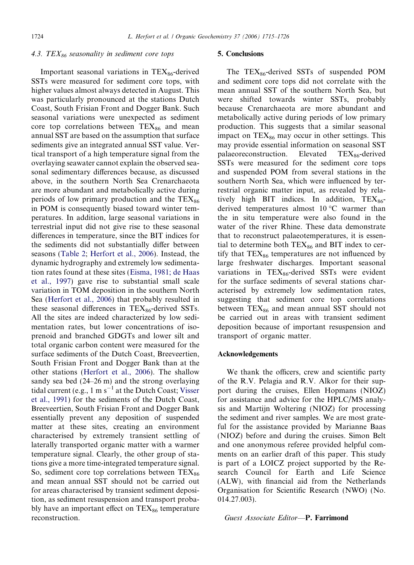#### 4.3. TEX $_{86}$  seasonality in sediment core tops

Important seasonal variations in  $TEX_{86}$ -derived SSTs were measured for sediment core tops, with higher values almost always detected in August. This was particularly pronounced at the stations Dutch Coast, South Frisian Front and Dogger Bank. Such seasonal variations were unexpected as sediment core top correlations between  $TEX_{86}$  and mean annual SST are based on the assumption that surface sediments give an integrated annual SST value. Vertical transport of a high temperature signal from the overlaying seawater cannot explain the observed seasonal sedimentary differences because, as discussed above, in the southern North Sea Crenarchaeota are more abundant and metabolically active during periods of low primary production and the  $TEX_{86}$ in POM is consequently biased toward winter temperatures. In addition, large seasonal variations in terrestrial input did not give rise to these seasonal differences in temperature, since the BIT indices for the sediments did not substantially differ between seasons ([Table 2;](#page-6-0) [Herfort et al., 2006](#page-10-0)). Instead, the dynamic hydrography and extremely low sedimentation rates found at these sites ([Eisma, 1981; de Haas](#page-10-0) [et al., 1997](#page-10-0)) gave rise to substantial small scale variation in TOM deposition in the southern North Sea [\(Herfort et al., 2006](#page-10-0)) that probably resulted in these seasonal differences in  $TEX_{86}$ -derived SSTs. All the sites are indeed characterized by low sedimentation rates, but lower concentrations of isoprenoid and branched GDGTs and lower silt and total organic carbon content were measured for the surface sediments of the Dutch Coast, Breeveertien, South Frisian Front and Dogger Bank than at the other stations ([Herfort et al., 2006\)](#page-10-0). The shallow sandy sea bed (24–26 m) and the strong overlaying tidal current (e.g.,  $1 \text{ m s}^{-1}$  at the Dutch Coast; [Visser](#page-10-0) [et al., 1991](#page-10-0)) for the sediments of the Dutch Coast, Breeveertien, South Frisian Front and Dogger Bank essentially prevent any deposition of suspended matter at these sites, creating an environment characterised by extremely transient settling of laterally transported organic matter with a warmer temperature signal. Clearly, the other group of stations give a more time-integrated temperature signal. So, sediment core top correlations between  $TEX_{86}$ and mean annual SST should not be carried out for areas characterised by transient sediment deposition, as sediment resuspension and transport probably have an important effect on  $text{TEX}_{86}$  temperature reconstruction.

#### 5. Conclusions

The  $TEX_{86}$ -derived SSTs of suspended POM and sediment core tops did not correlate with the mean annual SST of the southern North Sea, but were shifted towards winter SSTs, probably because Crenarchaeota are more abundant and metabolically active during periods of low primary production. This suggests that a similar seasonal impact on  $TEX_{86}$  may occur in other settings. This may provide essential information on seasonal SST palaeoreconstruction. Elevated  $text{TEX}_{86}$ -derived SSTs were measured for the sediment core tops and suspended POM from several stations in the southern North Sea, which were influenced by terrestrial organic matter input, as revealed by relatively high BIT indices. In addition,  $TEX_{86}$ derived temperatures almost  $10^{\circ}$ C warmer than the in situ temperature were also found in the water of the river Rhine. These data demonstrate that to reconstruct palaeotemperatures, it is essential to determine both  $TEX_{86}$  and BIT index to certify that  $TEX_{86}$  temperatures are not influenced by large freshwater discharges. Important seasonal variations in  $TEX_{86}$ -derived SSTs were evident for the surface sediments of several stations characterised by extremely low sedimentation rates, suggesting that sediment core top correlations between  $TEX_{86}$  and mean annual SST should not be carried out in areas with transient sediment deposition because of important resuspension and transport of organic matter.

#### Acknowledgements

We thank the officers, crew and scientific party of the R.V. Pelagia and R.V. Alkor for their support during the cruises, Ellen Hopmans (NIOZ) for assistance and advice for the HPLC/MS analysis and Martijn Woltering (NIOZ) for processing the sediment and river samples. We are most grateful for the assistance provided by Marianne Baas (NIOZ) before and during the cruises. Simon Belt and one anonymous referee provided helpful comments on an earlier draft of this paper. This study is part of a LOICZ project supported by the Research Council for Earth and Life Science (ALW), with financial aid from the Netherlands Organisation for Scientific Research (NWO) (No. 014.27.003).

#### Guest Associate Editor—P. Farrimond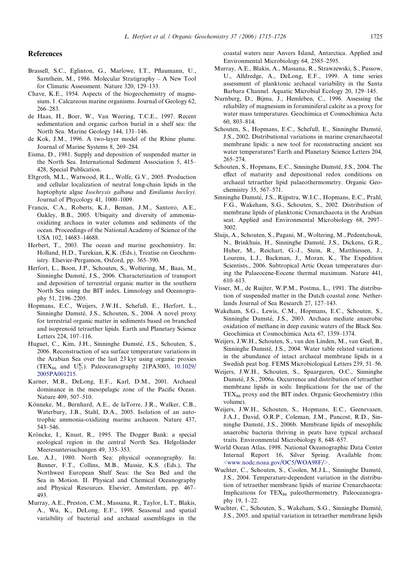#### <span id="page-10-0"></span>**References**

- Brassell, S.C., Eglinton, G., Marlowe, I.T., Pflaumann, U., Sarnthein, M., 1986. Molecular Stratigraphy – A New Tool for Climatic Assessment. Nature 320, 129–133.
- Chave, K.E., 1954. Aspects of the biogeochemistry of magnesium. 1. Calcareous marine organisms. Journal of Geology 62, 266–283.
- de Haas, H., Boer, W., Van Weering, T.C.E., 1997. Recent sedimentation and organic carbon burial in a shelf sea: the North Sea. Marine Geology 144, 131–146.
- de Kok, J.M., 1996. A two-layer model of the Rhine plume. Journal of Marine Systems 8, 269–284.
- Eisma, D., 1981. Supply and deposition of suspended matter in the North Sea. International Sediment Association 5, 415– 428, Special Publication.
- Eltgroth, M.L., Watwood, R.L., Wolfe, G.V., 2005. Production and cellular localization of neutral long-chain lipids in the haptophyte algae Isochrysis galbana and Emiliania huxleyi. Journal of Phycology 41, 1000–1009.
- Francis, C.A., Roberts, K.J., Beman, J.M., Santoro, A.E., Oakley, B.B., 2005. Ubiquity and diversity of ammoniaoxidizing archaea in water columns and sediments of the ocean. Proceedings of the National Academy of Science of the USA 102, 14683–14688.
- Herbert, T., 2003. The ocean and marine geochemistry. In: Holland, H.D., Turekian, K.K. (Eds.), Treatise on Geochemistry. Elsevier-Pergamon, Oxford, pp. 365–390.
- Herfort, L., Boon, J.P., Schouten, S., Woltering, M., Baas, M., Sinninghe Damsté, J.S., 2006. Characterization of transport and deposition of terrestrial organic matter in the southern North Sea using the BIT index. Limnology and Oceanography 51, 2196–2205.
- Hopmans, E.C., Weijers, J.W.H., Schefuß, E., Herfort, L., Sinninghe Damsté, J.S., Schouten, S., 2004. A novel proxy for terrestrial organic matter in sediments based on branched and isoprenoid tetraether lipids. Earth and Planetary Science Letters 224, 107–116.
- Huguet, C., Kim, J.H., Sinninghe Damsté, J.S., Schouten, S., 2006. Reconstruction of sea surface temperature variations in the Arabian Sea over the last 23 kyr using organic proxies (TEX<sub>86</sub> and U<sub>37</sub>). Paleoceanography 21PA3003, [10.1029/](http://dx.doi.org/10.1029/2005PA001215) [2005PA001215](http://dx.doi.org/10.1029/2005PA001215).
- Karner, M.B., DeLong, E.F., Karl, D.M., 2001. Archaeal dominance in the mesopelagic zone of the Pacific Ocean. Nature 409, 507–510.
- Könneke, M., Bernhard, A.E., de laTorre, J.R., Walker, C.B., Waterbury, J.B., Stahl, D.A., 2005. Isolation of an autotrophic ammonia-oxidizing marine archaeon. Nature 437, 543–546.
- Kröncke, I., Knust, R., 1995. The Dogger Bank: a special ecological region in the central North Sea. Helgoländer Meeresuntersuchungen 49, 335–353.
- Lee, A.J., 1980. North Sea: physical oceanography. In: Banner, F.T., Collins, M.B., Massie, K.S. (Eds.), The Northwest European Shelf Seas: the Sea Bed and the Sea in Motion. II. Physical and Chemical Oceanography and Physical Resources. Elsevier, Amsterdam, pp. 467– 493.
- Murray, A.E., Preston, C.M., Massana, R., Taylor, L.T., Blakis, A., Wu, K., DeLong, E.F., 1998. Seasonal and spatial variability of bacterial and archaeal assemblages in the

coastal waters near Anvers Island, Antarctica. Applied and Environmental Microbiology 64, 2585–2595.

- Murray, A.E., Blakis, A., Massana, R., Strawzewski, S., Passow, U., Alldredge, A., DeLong, E.F., 1999. A time series assessment of planktonic archaeal variability in the Santa Barbara Channel. Aquatic Microbial Ecology 20, 129–145.
- Nurnberg, D., Bijma, J., Hemleben, C., 1996. Assessing the reliability of magnesium in foraminiferal calcite as a proxy for water mass temperatures. Geochimica et Cosmochimica Acta 60, 803–814.
- Schouten, S., Hopmans, E.C., Schefuß, E., Sinninghe Damsté, J.S., 2002. Distributional variations in marine crenarchaeotal membrane lipids: a new tool for reconstructing ancient sea water temperatures? Earth and Planetary Science Letters 204, 265–274.
- Schouten, S., Hopmans, E.C., Sinninghe Damsté, J.S., 2004. The effect of maturity and depositional redox conditions on archaeal tetraether lipid palaeothermometry. Organic Geochemistry 35, 567–571.
- Sinninghe Damsté, J.S., Rijpstra, W.I.C., Hopmans, E.C., Prahl, F.G., Wakeham, S.G., Schouten, S., 2002. Distribution of membrane lipids of planktonic Crenarchaeota in the Arabian seat. Applied and Environmental Microbiology 68, 2997– 3002.
- Sluijs, A., Schouten, S., Pagani, M., Woltering, M., Pedentchouk, N., Brinkhuis, H., Sinninghe Damsté, J.S., Dickens, G.R., Huber, M., Reichart, G.-J., Stein, R., Matthiessen, J., Lourens, L.J., Backman, J., Moran, K., The Expedition Scientists., 2006. Subtropical Artic Ocean temperatures during the Palaeocene-Eocene thermal maximum. Nature 441, 610–613.
- Visser, M., de Ruijter, W.P.M., Postma, L., 1991. The distribution of suspended matter in the Dutch coastal zone. Netherlands Journal of Sea Research 27, 127–143.
- Wakeham, S.G., Lewis, C.M., Hopmans, E.C., Schouten, S., Sinninghe Damsté, J.S., 2003. Archaea mediate anaerobic oxidation of methane in deep euxinic waters of the Black Sea. Geochimica et Cosmochimica Acta 67, 1359–1374.
- Weijers, J.W.H., Schouten, S., van den Linden, M., van Geel, B., Sinninghe Damsté, J.S., 2004. Water table related variations in the abundance of intact archaeal membrane lipids in a Swedish peat bog. FEMS Microbiological Letters 239, 51–56.
- Weijers, J.W.H., Schouten, S., Spaargaren, O.C., Sinninghe Damsté, J.S., 2006a. Occurrence and distribution of tetraether membrane lipids in soils: Implications for the use of the  $TEX_{86}$  proxy and the BIT index. Organic Geochemistry (this volume).
- Weijers, J.W.H., Schouten, S., Hopmans, E.C., Geenevasen, J.A.J., David, O.R.P., Coleman, J.M., Pancost, R.D., Sinninghe Damsté, J.S., 2006b. Membrane lipids of mesophilic anaerobic bacteria thriving in peats have typical archaeal traits. Environmental Microbiology 8, 648–657.
- World Ocean Atlas, 1998. National Oceanographic Data Center Internal Report 16, Silver Spring. Available from: [<www.nodc.noaa.gov/OC5/WOA98F/>.](http://www.nodc.noaa.gov/OC5/WOA98F/)
- Wuchter, C., Schouten, S., Coolen, M.J.L., Sinninghe Damsté, J.S., 2004. Temperature-dependent variation in the distribution of tetraether membrane lipids of marine Crenarchaeota: Implications for  $TEX_{86}$  paleothermometry. Paleoceanography 19, 1–22.
- Wuchter, C., Schouten, S., Wakeham, S.G., Sinninghe Damsté, J.S., 2005. and spatial variation in tetraether membrane lipids